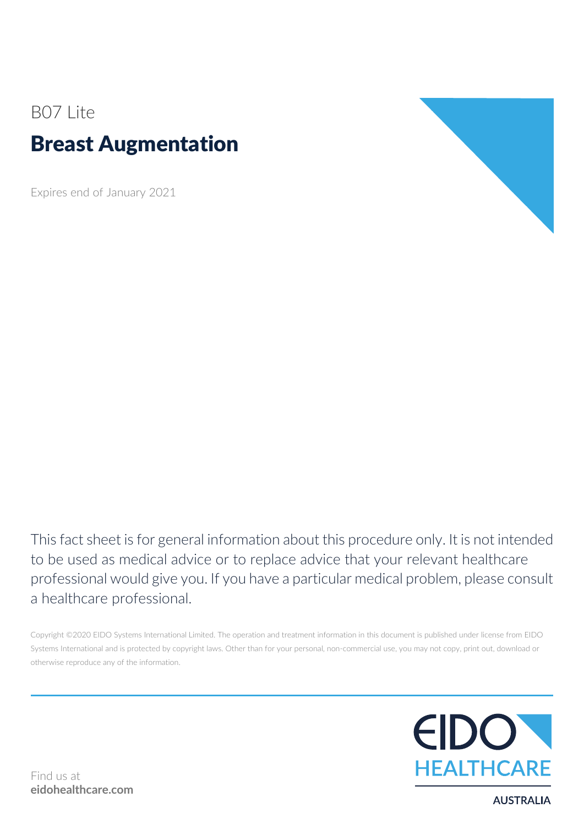# B07 Lite Breast Augmentation

Expires end of January 2021



This fact sheet is for general information about this procedure only. It is not intended to be used as medical advice or to replace advice that your relevant healthcare professional would give you. If you have a particular medical problem, please consult a healthcare professional.

Copyright ©2020 EIDO Systems International Limited. The operation and treatment information in this document is published under license from EIDO Systems International and is protected by copyright laws. Other than for your personal, non-commercial use, you may not copy, print out, download or otherwise reproduce any of the information.



Find us at **eidohealthcare.com**

**AUSTRALIA**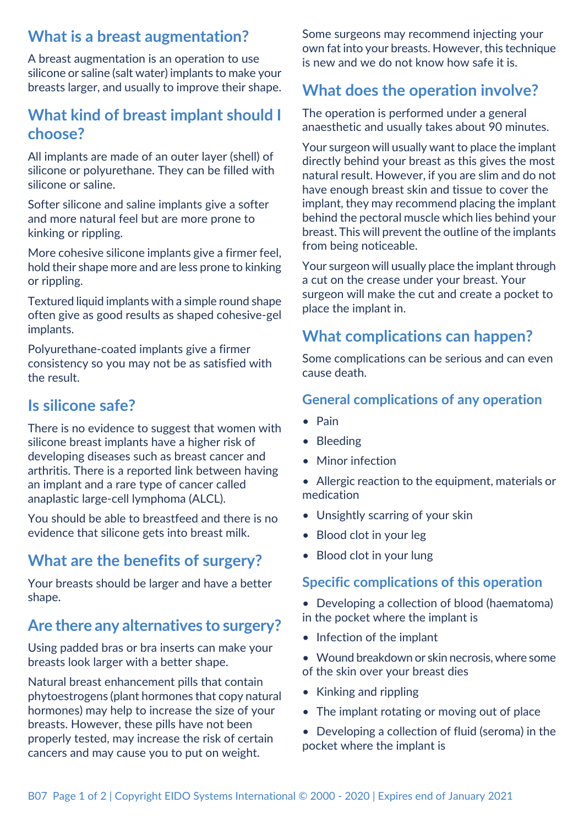### **What is a breast augmentation?**

A breast augmentation is an operation to use silicone or saline (salt water) implants to make your breasts larger, and usually to improve their shape.

### **What kind of breast implant should I choose?**

All implants are made of an outer layer (shell) of silicone or polyurethane. They can be filled with silicone or saline.

Softer silicone and saline implants give a softer and more natural feel but are more prone to kinking or rippling.

More cohesive silicone implants give a firmer feel, hold their shape more and are less prone to kinking or rippling.

Textured liquid implants with a simple round shape often give as good results as shaped cohesive-gel implants.

Polyurethane-coated implants give a firmer consistency so you may not be as satisfied with the result.

### **Is silicone safe?**

There is no evidence to suggest that women with silicone breast implants have a higher risk of developing diseases such as breast cancer and arthritis. There is a reported link between having an implant and a rare type of cancer called anaplastic large-cell lymphoma (ALCL).

You should be able to breastfeed and there is no evidence that silicone gets into breast milk.

### **What are the benefits of surgery?**

Your breasts should be larger and have a better shape.

### **Are there any alternatives to surgery?**

Using padded bras or bra inserts can make your breasts look larger with a better shape.

Natural breast enhancement pills that contain phytoestrogens (plant hormones that copy natural hormones) may help to increase the size of your breasts. However, these pills have not been properly tested, may increase the risk of certain cancers and may cause you to put on weight.

Some surgeons may recommend injecting your own fat into your breasts. However, this technique is new and we do not know how safe it is.

## **What does the operation involve?**

The operation is performed under a general anaesthetic and usually takes about 90 minutes.

Your surgeon will usually want to place the implant directly behind your breast as this gives the most natural result. However, if you are slim and do not have enough breast skin and tissue to cover the implant, they may recommend placing the implant behind the pectoral muscle which lies behind your breast. This will prevent the outline of the implants from being noticeable.

Your surgeon will usually place the implant through a cut on the crease under your breast. Your surgeon will make the cut and create a pocket to place the implant in.

### **What complications can happen?**

Some complications can be serious and can even cause death.

#### **General complications of any operation**

- Pain
- Bleeding
- Minor infection
- Allergic reaction to the equipment, materials or medication
- Unsightly scarring of your skin
- Blood clot in your leg
- Blood clot in your lung

#### **Specific complications of this operation**

- Developing a collection of blood (haematoma) in the pocket where the implant is
- Infection of the implant
- Wound breakdown or skin necrosis, where some of the skin over your breast dies
- Kinking and rippling
- The implant rotating or moving out of place
- Developing a collection of fluid (seroma) in the pocket where the implant is